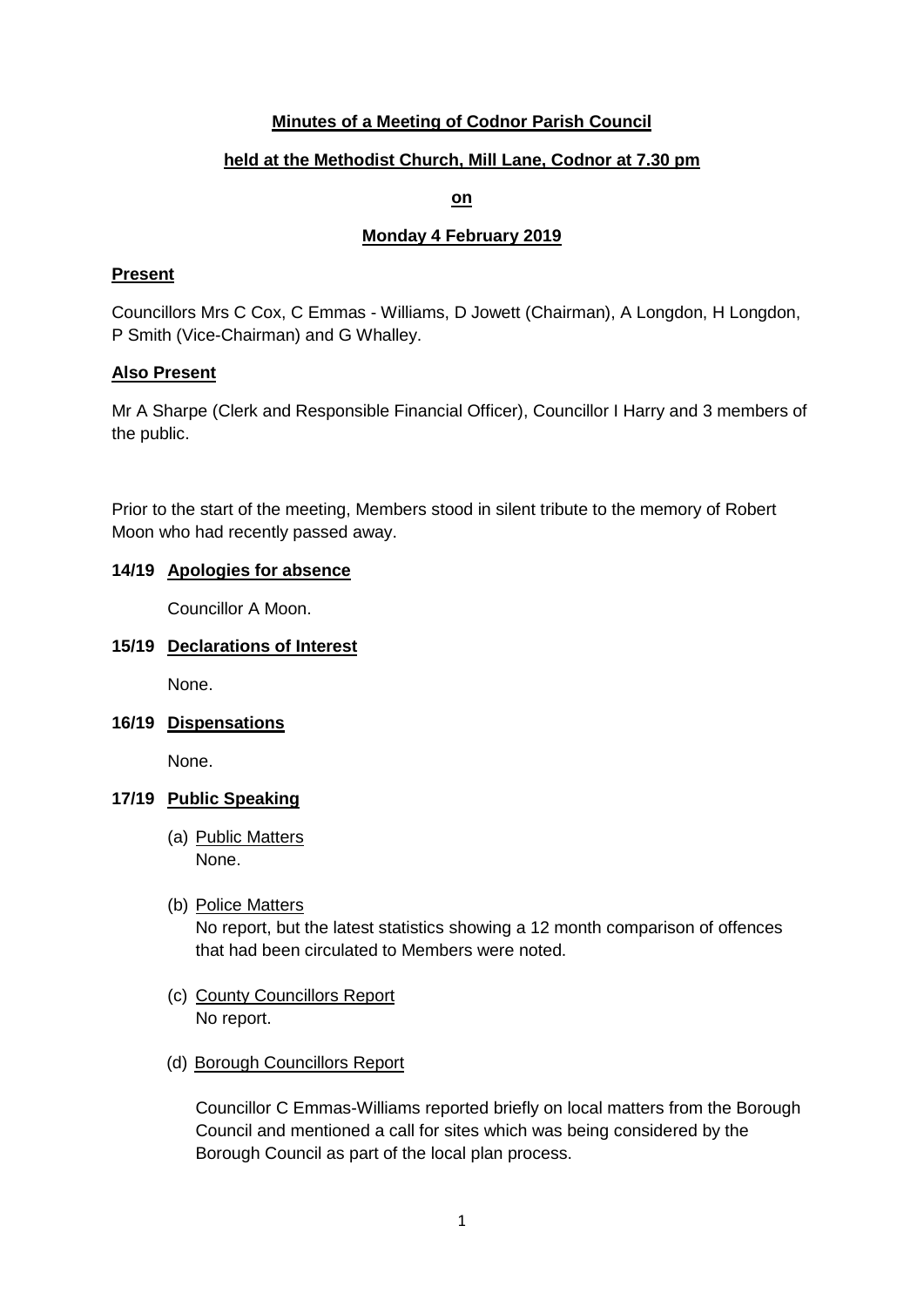# **Minutes of a Meeting of Codnor Parish Council**

# **held at the Methodist Church, Mill Lane, Codnor at 7.30 pm**

### **on**

## **Monday 4 February 2019**

## **Present**

Councillors Mrs C Cox, C Emmas - Williams, D Jowett (Chairman), A Longdon, H Longdon, P Smith (Vice-Chairman) and G Whalley.

## **Also Present**

Mr A Sharpe (Clerk and Responsible Financial Officer), Councillor I Harry and 3 members of the public.

Prior to the start of the meeting, Members stood in silent tribute to the memory of Robert Moon who had recently passed away.

# **14/19 Apologies for absence**

Councillor A Moon.

## **15/19 Declarations of Interest**

None.

**16/19 Dispensations**

None.

## **17/19 Public Speaking**

- (a) Public Matters None.
- (b) Police Matters

No report, but the latest statistics showing a 12 month comparison of offences that had been circulated to Members were noted.

- (c) County Councillors Report No report.
- (d) Borough Councillors Report

Councillor C Emmas-Williams reported briefly on local matters from the Borough Council and mentioned a call for sites which was being considered by the Borough Council as part of the local plan process.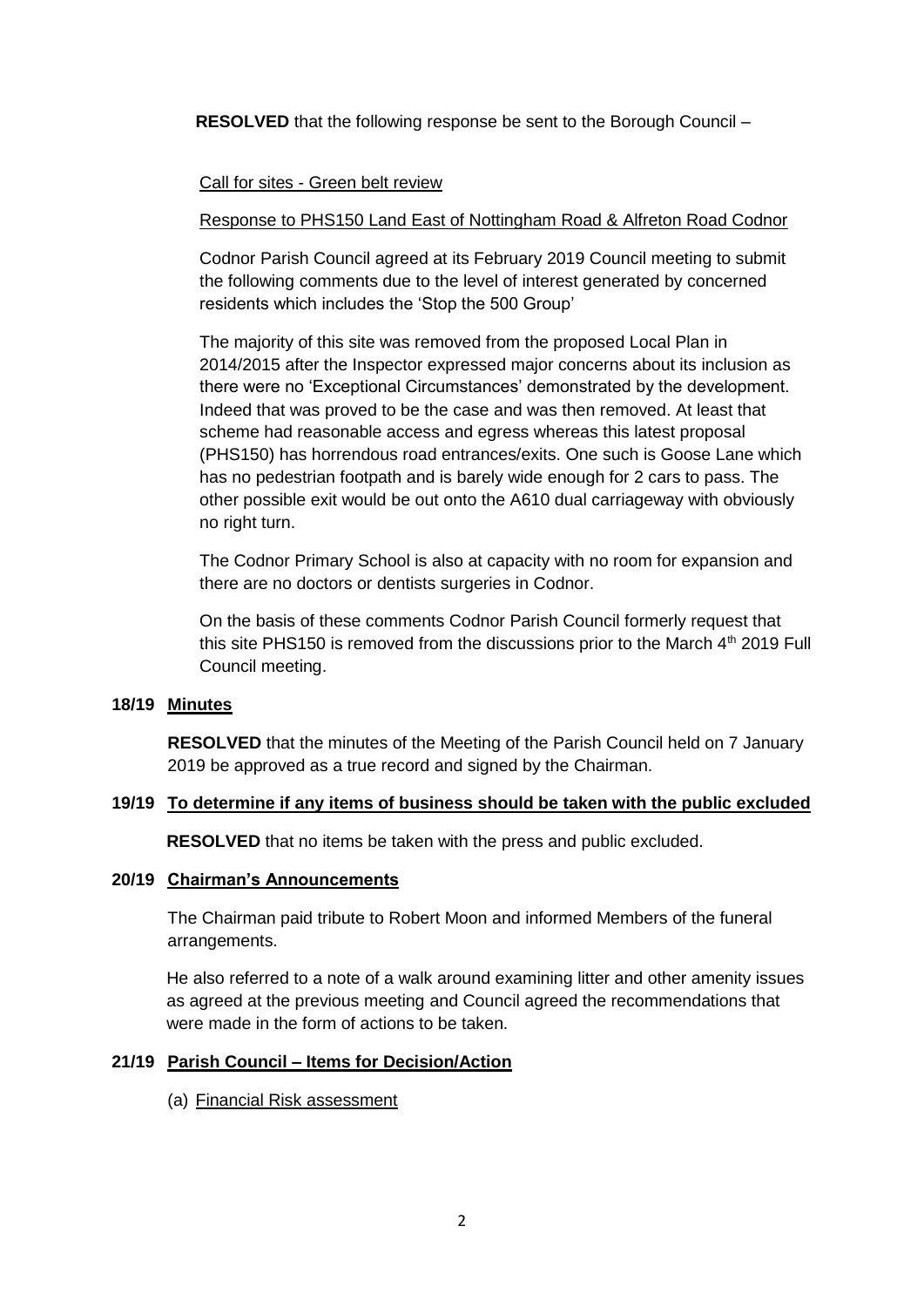**RESOLVED** that the following response be sent to the Borough Council –

### Call for sites - Green belt review

#### Response to PHS150 Land East of Nottingham Road & Alfreton Road Codnor

Codnor Parish Council agreed at its February 2019 Council meeting to submit the following comments due to the level of interest generated by concerned residents which includes the 'Stop the 500 Group'

The majority of this site was removed from the proposed Local Plan in 2014/2015 after the Inspector expressed major concerns about its inclusion as there were no 'Exceptional Circumstances' demonstrated by the development. Indeed that was proved to be the case and was then removed. At least that scheme had reasonable access and egress whereas this latest proposal (PHS150) has horrendous road entrances/exits. One such is Goose Lane which has no pedestrian footpath and is barely wide enough for 2 cars to pass. The other possible exit would be out onto the A610 dual carriageway with obviously no right turn.

The Codnor Primary School is also at capacity with no room for expansion and there are no doctors or dentists surgeries in Codnor.

On the basis of these comments Codnor Parish Council formerly request that this site PHS150 is removed from the discussions prior to the March  $4<sup>th</sup>$  2019 Full Council meeting.

# **18/19 Minutes**

**RESOLVED** that the minutes of the Meeting of the Parish Council held on 7 January 2019 be approved as a true record and signed by the Chairman.

#### **19/19 To determine if any items of business should be taken with the public excluded**

**RESOLVED** that no items be taken with the press and public excluded.

#### **20/19 Chairman's Announcements**

The Chairman paid tribute to Robert Moon and informed Members of the funeral arrangements.

He also referred to a note of a walk around examining litter and other amenity issues as agreed at the previous meeting and Council agreed the recommendations that were made in the form of actions to be taken.

#### **21/19 Parish Council – Items for Decision/Action**

(a) Financial Risk assessment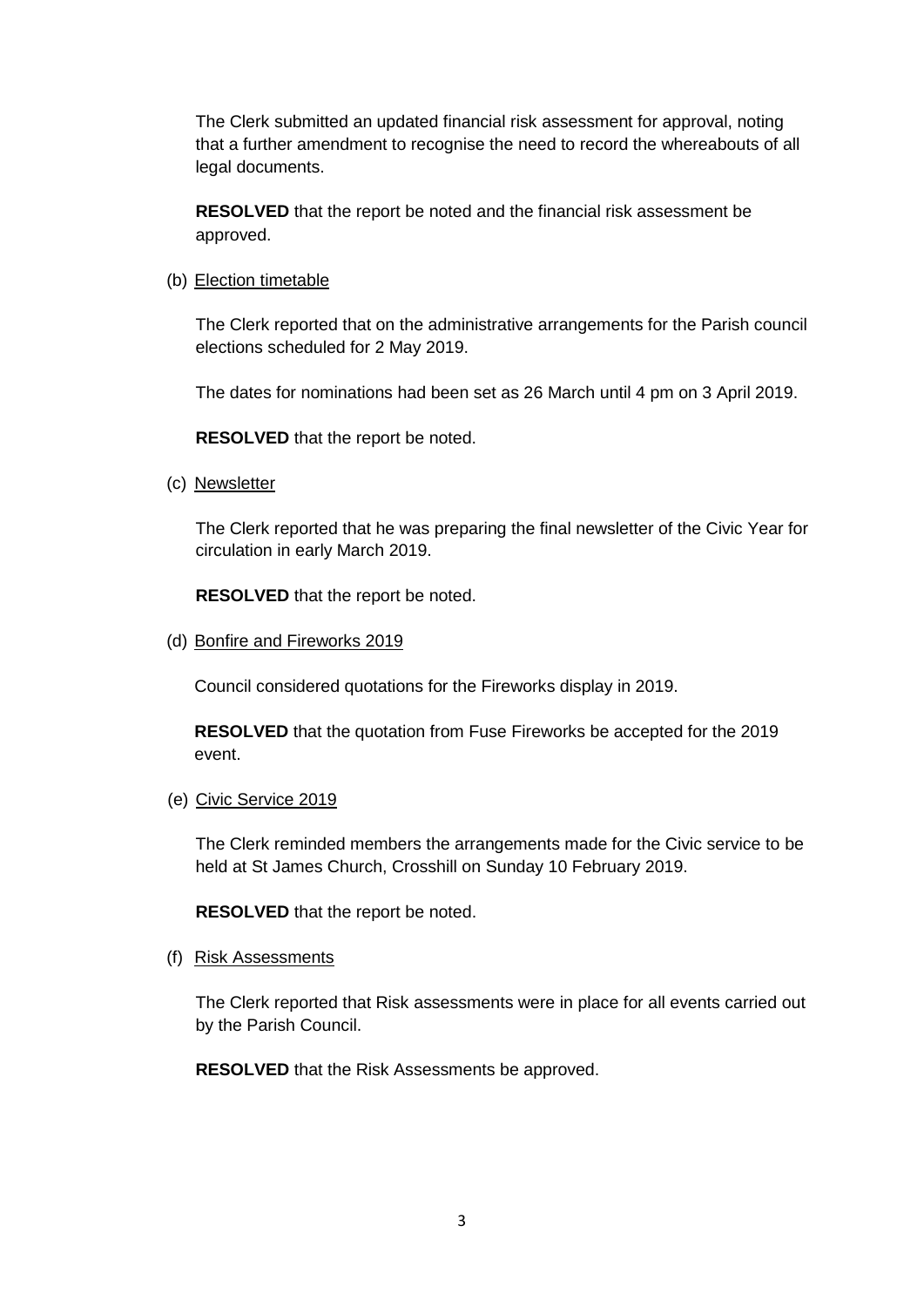The Clerk submitted an updated financial risk assessment for approval, noting that a further amendment to recognise the need to record the whereabouts of all legal documents.

**RESOLVED** that the report be noted and the financial risk assessment be approved.

(b) Election timetable

The Clerk reported that on the administrative arrangements for the Parish council elections scheduled for 2 May 2019.

The dates for nominations had been set as 26 March until 4 pm on 3 April 2019.

**RESOLVED** that the report be noted.

(c) Newsletter

The Clerk reported that he was preparing the final newsletter of the Civic Year for circulation in early March 2019.

**RESOLVED** that the report be noted.

(d) Bonfire and Fireworks 2019

Council considered quotations for the Fireworks display in 2019.

**RESOLVED** that the quotation from Fuse Fireworks be accepted for the 2019 event.

(e) Civic Service 2019

The Clerk reminded members the arrangements made for the Civic service to be held at St James Church, Crosshill on Sunday 10 February 2019.

**RESOLVED** that the report be noted.

(f) Risk Assessments

The Clerk reported that Risk assessments were in place for all events carried out by the Parish Council.

**RESOLVED** that the Risk Assessments be approved.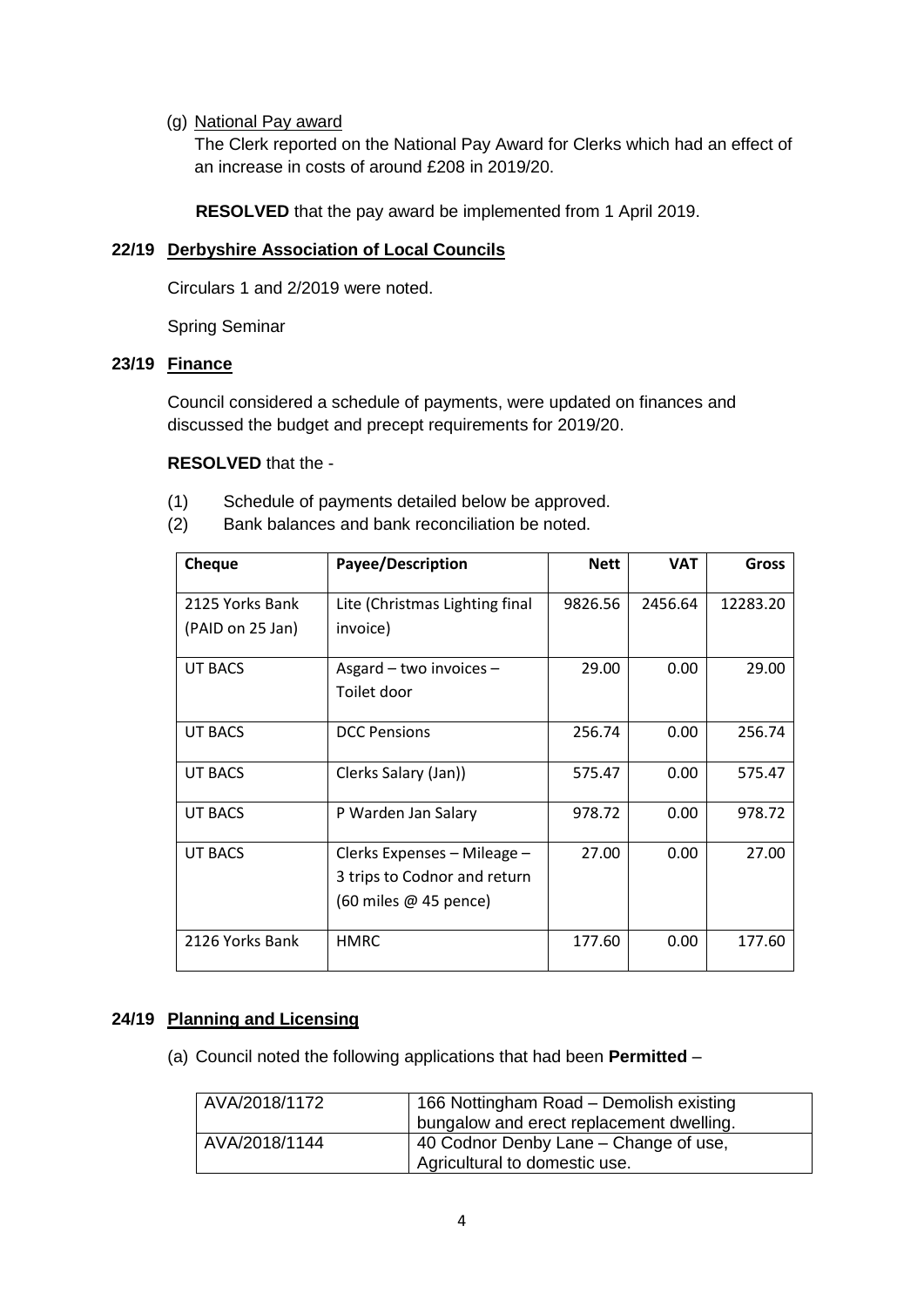### (g) National Pay award

The Clerk reported on the National Pay Award for Clerks which had an effect of an increase in costs of around £208 in 2019/20.

**RESOLVED** that the pay award be implemented from 1 April 2019.

## **22/19 Derbyshire Association of Local Councils**

Circulars 1 and 2/2019 were noted.

Spring Seminar

### **23/19 Finance**

Council considered a schedule of payments, were updated on finances and discussed the budget and precept requirements for 2019/20.

### **RESOLVED** that the -

- (1) Schedule of payments detailed below be approved.
- (2) Bank balances and bank reconciliation be noted.

| <b>Cheque</b>    | Payee/Description                           | <b>Nett</b> | <b>VAT</b> | <b>Gross</b> |
|------------------|---------------------------------------------|-------------|------------|--------------|
| 2125 Yorks Bank  | Lite (Christmas Lighting final              | 9826.56     | 2456.64    | 12283.20     |
| (PAID on 25 Jan) | invoice)                                    |             |            |              |
| UT BACS          | Asgard - two invoices -                     | 29.00       | 0.00       | 29.00        |
|                  | Toilet door                                 |             |            |              |
| UT BACS          | <b>DCC Pensions</b>                         | 256.74      | 0.00       | 256.74       |
| UT BACS          | Clerks Salary (Jan))                        | 575.47      | 0.00       | 575.47       |
| UT BACS          | P Warden Jan Salary                         | 978.72      | 0.00       | 978.72       |
| UT BACS          | Clerks Expenses - Mileage -                 | 27.00       | 0.00       | 27.00        |
|                  | 3 trips to Codnor and return                |             |            |              |
|                  | $(60 \text{ miles} \ @ \ 45 \text{ pence})$ |             |            |              |
| 2126 Yorks Bank  | <b>HMRC</b>                                 | 177.60      | 0.00       | 177.60       |

## **24/19 Planning and Licensing**

(a) Council noted the following applications that had been **Permitted** –

| AVA/2018/1172 | 166 Nottingham Road - Demolish existing<br>bungalow and erect replacement dwelling. |
|---------------|-------------------------------------------------------------------------------------|
| AVA/2018/1144 | 40 Codnor Denby Lane - Change of use,<br>Agricultural to domestic use.              |